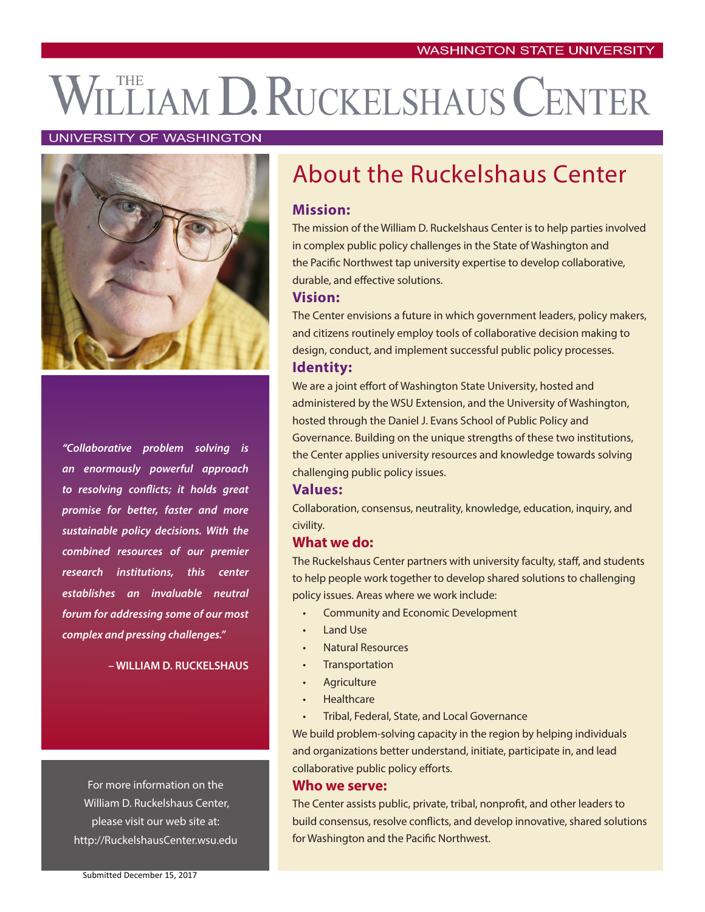# THE LIAM D. RUCKELSHAUS CENTER

#### UNIVERSITY OF WASHINGTON



*"Collaborative problem solving is an enormously powerful approach to resolving conflicts; it holds great promise for better, faster and more sustainable policy decisions. With the combined resources of our premier research institutions, this center establishes an invaluable neutral forum for addressing some of our most complex and pressing challenges."*

**– WILLIAM D. RUCKELSHAUS**

For more information on the William D. Ruckelshaus Center, please visit our web site at: http://RuckelshausCenter.wsu.edu

# About the Ruckelshaus Center

#### **Mission:**

The mission of the William D. Ruckelshaus Center is to help parties involved in complex public policy challenges in the State of Washington and the Pacific Northwest tap university expertise to develop collaborative, durable, and effective solutions.

### **Vision:**

The Center envisions a future in which government leaders, policy makers, and citizens routinely employ tools of collaborative decision making to design, conduct, and implement successful public policy processes. **Identity:**

We are a joint effort of Washington State University, hosted and administered by the WSU Extension, and the University of Washington, hosted through the Daniel J. Evans School of Public Policy and Governance. Building on the unique strengths of these two institutions, the Center applies university resources and knowledge towards solving challenging public policy issues.

#### **Values:**

Collaboration, consensus, neutrality, knowledge, education, inquiry, and civility.

#### **What we do:**

The Ruckelshaus Center partners with university faculty, staff, and students to help people work together to develop shared solutions to challenging policy issues. Areas where we work include:

- Community and Economic Development
- Land Use
- Natural Resources
- **Transportation**
- **Agriculture**
- **Healthcare**
- Tribal, Federal, State, and Local Governance

We build problem-solving capacity in the region by helping individuals and organizations better understand, initiate, participate in, and lead collaborative public policy efforts.

#### **Who we serve:**

The Center assists public, private, tribal, nonprofit, and other leaders to build consensus, resolve conflicts, and develop innovative, shared solutions for Washington and the Pacific Northwest.